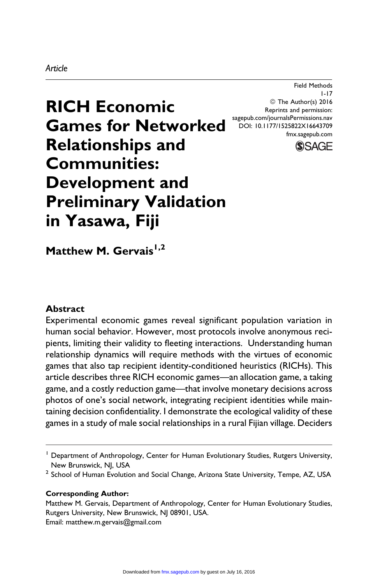Field Methods 1-17 © The Author(s) 2016 Reprints and permission: [sagepub.com/journalsPermissions.nav](http://www.sagepub.com/journalsPermissions.nav) DOI: 10.1177/1525822X16643709 [fmx.sagepub.com](http://fmx.sagepub.com)



# RICH Economic Games for Networked Relationships and Communities: Development and Preliminary Validation in Yasawa, Fiji

Matthew M. Gervais<sup>1,2</sup>

#### **Abstract**

Experimental economic games reveal significant population variation in human social behavior. However, most protocols involve anonymous recipients, limiting their validity to fleeting interactions. Understanding human relationship dynamics will require methods with the virtues of economic games that also tap recipient identity-conditioned heuristics (RICHs). This article describes three RICH economic games—an allocation game, a taking game, and a costly reduction game—that involve monetary decisions across photos of one's social network, integrating recipient identities while maintaining decision confidentiality. I demonstrate the ecological validity of these games in a study of male social relationships in a rural Fijian village. Deciders

#### Corresponding Author:

Matthew M. Gervais, Department of Anthropology, Center for Human Evolutionary Studies, Rutgers University, New Brunswick, NJ 08901, USA. Email: matthew.m.gervais@gmail.com

<sup>&</sup>lt;sup>1</sup> Department of Anthropology, Center for Human Evolutionary Studies, Rutgers University, New Brunswick, NJ, USA

<sup>&</sup>lt;sup>2</sup> School of Human Evolution and Social Change, Arizona State University, Tempe, AZ, USA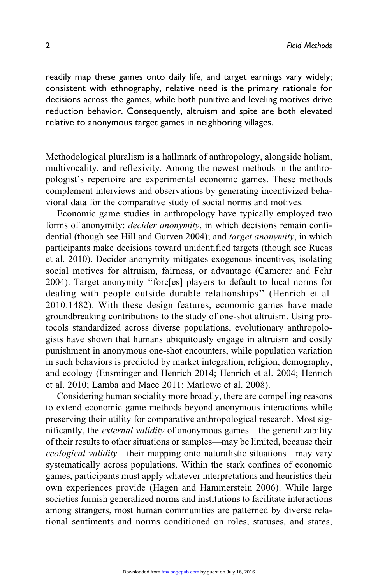readily map these games onto daily life, and target earnings vary widely; consistent with ethnography, relative need is the primary rationale for decisions across the games, while both punitive and leveling motives drive reduction behavior. Consequently, altruism and spite are both elevated relative to anonymous target games in neighboring villages.

Methodological pluralism is a hallmark of anthropology, alongside holism, multivocality, and reflexivity. Among the newest methods in the anthropologist's repertoire are experimental economic games. These methods complement interviews and observations by generating incentivized behavioral data for the comparative study of social norms and motives.

Economic game studies in anthropology have typically employed two forms of anonymity: decider anonymity, in which decisions remain confidential (though see Hill and Gurven 2004); and target anonymity, in which participants make decisions toward unidentified targets (though see Rucas et al. 2010). Decider anonymity mitigates exogenous incentives, isolating social motives for altruism, fairness, or advantage (Camerer and Fehr 2004). Target anonymity ''forc[es] players to default to local norms for dealing with people outside durable relationships'' (Henrich et al. 2010:1482). With these design features, economic games have made groundbreaking contributions to the study of one-shot altruism. Using protocols standardized across diverse populations, evolutionary anthropologists have shown that humans ubiquitously engage in altruism and costly punishment in anonymous one-shot encounters, while population variation in such behaviors is predicted by market integration, religion, demography, and ecology (Ensminger and Henrich 2014; Henrich et al. 2004; Henrich et al. 2010; Lamba and Mace 2011; Marlowe et al. 2008).

Considering human sociality more broadly, there are compelling reasons to extend economic game methods beyond anonymous interactions while preserving their utility for comparative anthropological research. Most significantly, the external validity of anonymous games—the generalizability of their results to other situations or samples—may be limited, because their ecological validity—their mapping onto naturalistic situations—may vary systematically across populations. Within the stark confines of economic games, participants must apply whatever interpretations and heuristics their own experiences provide (Hagen and Hammerstein 2006). While large societies furnish generalized norms and institutions to facilitate interactions among strangers, most human communities are patterned by diverse relational sentiments and norms conditioned on roles, statuses, and states,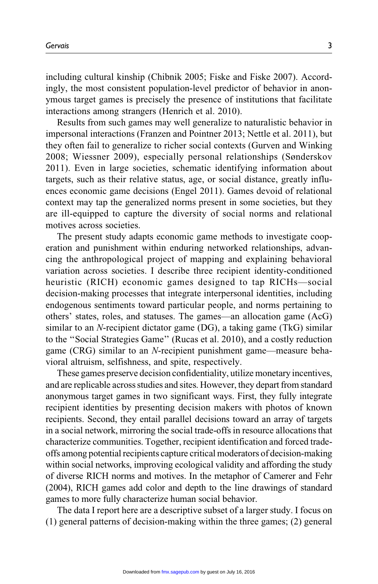including cultural kinship (Chibnik 2005; Fiske and Fiske 2007). Accordingly, the most consistent population-level predictor of behavior in anonymous target games is precisely the presence of institutions that facilitate interactions among strangers (Henrich et al. 2010).

Results from such games may well generalize to naturalistic behavior in impersonal interactions (Franzen and Pointner 2013; Nettle et al. 2011), but they often fail to generalize to richer social contexts (Gurven and Winking 2008; Wiessner 2009), especially personal relationships (Sønderskov 2011). Even in large societies, schematic identifying information about targets, such as their relative status, age, or social distance, greatly influences economic game decisions (Engel 2011). Games devoid of relational context may tap the generalized norms present in some societies, but they are ill-equipped to capture the diversity of social norms and relational motives across societies.

The present study adapts economic game methods to investigate cooperation and punishment within enduring networked relationships, advancing the anthropological project of mapping and explaining behavioral variation across societies. I describe three recipient identity-conditioned heuristic (RICH) economic games designed to tap RICHs—social decision-making processes that integrate interpersonal identities, including endogenous sentiments toward particular people, and norms pertaining to others' states, roles, and statuses. The games—an allocation game (AcG) similar to an N-recipient dictator game (DG), a taking game (TkG) similar to the ''Social Strategies Game'' (Rucas et al. 2010), and a costly reduction game (CRG) similar to an N-recipient punishment game—measure behavioral altruism, selfishness, and spite, respectively.

These games preserve decision confidentiality, utilize monetary incentives, and are replicable across studies and sites. However, they depart from standard anonymous target games in two significant ways. First, they fully integrate recipient identities by presenting decision makers with photos of known recipients. Second, they entail parallel decisions toward an array of targets in a social network, mirroring the social trade-offs in resource allocations that characterize communities. Together, recipient identification and forced tradeoffs among potential recipients capture critical moderators of decision-making within social networks, improving ecological validity and affording the study of diverse RICH norms and motives. In the metaphor of Camerer and Fehr (2004), RICH games add color and depth to the line drawings of standard games to more fully characterize human social behavior.

The data I report here are a descriptive subset of a larger study. I focus on (1) general patterns of decision-making within the three games; (2) general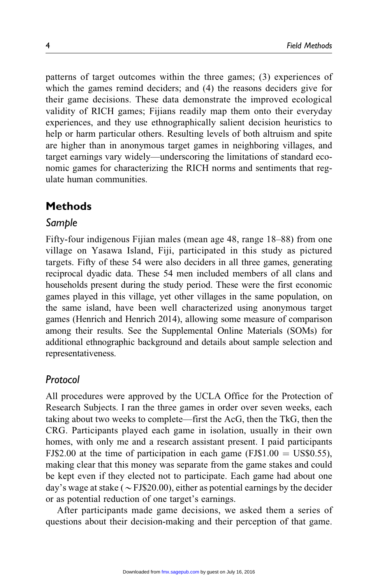patterns of target outcomes within the three games; (3) experiences of which the games remind deciders; and (4) the reasons deciders give for their game decisions. These data demonstrate the improved ecological validity of RICH games; Fijians readily map them onto their everyday experiences, and they use ethnographically salient decision heuristics to help or harm particular others. Resulting levels of both altruism and spite are higher than in anonymous target games in neighboring villages, and target earnings vary widely—underscoring the limitations of standard economic games for characterizing the RICH norms and sentiments that regulate human communities.

## Methods

#### Sample

Fifty-four indigenous Fijian males (mean age 48, range 18–88) from one village on Yasawa Island, Fiji, participated in this study as pictured targets. Fifty of these 54 were also deciders in all three games, generating reciprocal dyadic data. These 54 men included members of all clans and households present during the study period. These were the first economic games played in this village, yet other villages in the same population, on the same island, have been well characterized using anonymous target games (Henrich and Henrich 2014), allowing some measure of comparison among their results. See the Supplemental Online Materials (SOMs) for additional ethnographic background and details about sample selection and representativeness.

#### Protocol

All procedures were approved by the UCLA Office for the Protection of Research Subjects. I ran the three games in order over seven weeks, each taking about two weeks to complete—first the AcG, then the TkG, then the CRG. Participants played each game in isolation, usually in their own homes, with only me and a research assistant present. I paid participants FJ\$2.00 at the time of participation in each game (FJ\$1.00  $=$  US\$0.55), making clear that this money was separate from the game stakes and could be kept even if they elected not to participate. Each game had about one day's wage at stake ( $\sim$ FJ\$20.00), either as potential earnings by the decider or as potential reduction of one target's earnings.

After participants made game decisions, we asked them a series of questions about their decision-making and their perception of that game.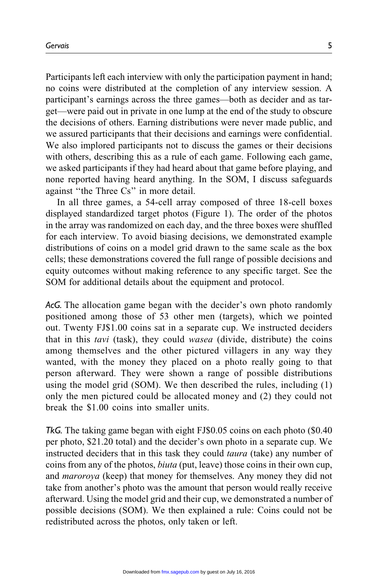Participants left each interview with only the participation payment in hand; no coins were distributed at the completion of any interview session. A participant's earnings across the three games—both as decider and as target—were paid out in private in one lump at the end of the study to obscure the decisions of others. Earning distributions were never made public, and we assured participants that their decisions and earnings were confidential. We also implored participants not to discuss the games or their decisions with others, describing this as a rule of each game. Following each game, we asked participants if they had heard about that game before playing, and none reported having heard anything. In the SOM, I discuss safeguards against ''the Three Cs'' in more detail.

In all three games, a 54-cell array composed of three 18-cell boxes displayed standardized target photos (Figure 1). The order of the photos in the array was randomized on each day, and the three boxes were shuffled for each interview. To avoid biasing decisions, we demonstrated example distributions of coins on a model grid drawn to the same scale as the box cells; these demonstrations covered the full range of possible decisions and equity outcomes without making reference to any specific target. See the SOM for additional details about the equipment and protocol.

AcG. The allocation game began with the decider's own photo randomly positioned among those of 53 other men (targets), which we pointed out. Twenty FJ\$1.00 coins sat in a separate cup. We instructed deciders that in this tavi (task), they could wasea (divide, distribute) the coins among themselves and the other pictured villagers in any way they wanted, with the money they placed on a photo really going to that person afterward. They were shown a range of possible distributions using the model grid (SOM). We then described the rules, including (1) only the men pictured could be allocated money and (2) they could not break the \$1.00 coins into smaller units.

TkG. The taking game began with eight FJ\$0.05 coins on each photo (\$0.40 per photo, \$21.20 total) and the decider's own photo in a separate cup. We instructed deciders that in this task they could taura (take) any number of coins from any of the photos, biuta (put, leave) those coins in their own cup, and maroroya (keep) that money for themselves. Any money they did not take from another's photo was the amount that person would really receive afterward. Using the model grid and their cup, we demonstrated a number of possible decisions (SOM). We then explained a rule: Coins could not be redistributed across the photos, only taken or left.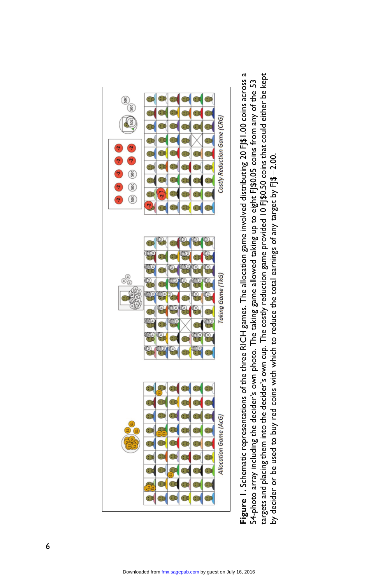

Figure 1. Schematic representations of the three RICH games. The allocation game involved distributing 20 FJ\$1.00 coins across a targets and placing them into the decider's own cup. The costly reduction game provided 10 FJ\$0.50 coins that could either be kept Figure 1. Schematic representations of the three RICH games. The allocation game involved distributing 20 FJ\$1.00 coins across a targets and placing them into the decider's own cup. The costly reduction game provided 10 FJ\$0.50 coins that could either be kept 54-photo array including the decider's own photo. The taking game allowed taking up to eight FJ\$0.05 coins from any of the 53 54-photo array including the decider's own photo. The taking game allowed taking up to eight FJ\$0.05 coins from any of the 53 by decider or be used to buy red coins with which to reduce the total earnings of any target by FJ\$-2.00. by decider or be used to buy red coins with which to reduce the total earnings of any target by  $\mathsf{FJ\${\text{-}}}$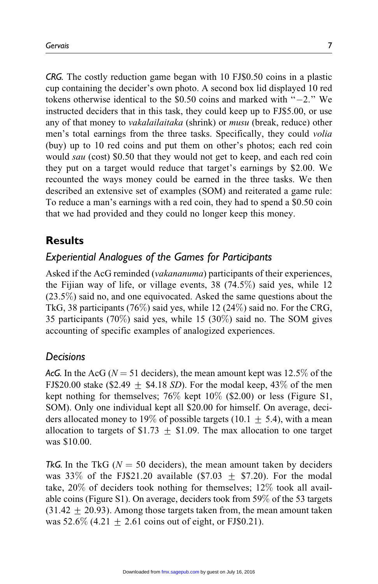CRG. The costly reduction game began with 10 FJ\$0.50 coins in a plastic cup containing the decider's own photo. A second box lid displayed 10 red tokens otherwise identical to the  $$0.50$  coins and marked with " $-2$ ." We instructed deciders that in this task, they could keep up to FJ\$5.00, or use any of that money to vakalailaitaka (shrink) or musu (break, reduce) other men's total earnings from the three tasks. Specifically, they could volia (buy) up to 10 red coins and put them on other's photos; each red coin would *sau* (cost) \$0.50 that they would not get to keep, and each red coin they put on a target would reduce that target's earnings by \$2.00. We recounted the ways money could be earned in the three tasks. We then described an extensive set of examples (SOM) and reiterated a game rule: To reduce a man's earnings with a red coin, they had to spend a \$0.50 coin that we had provided and they could no longer keep this money.

## **Results**

## Experiential Analogues of the Games for Participants

Asked if the AcG reminded (vakananuma) participants of their experiences, the Fijian way of life, or village events, 38 (74.5%) said yes, while 12 (23.5%) said no, and one equivocated. Asked the same questions about the TkG, 38 participants (76%) said yes, while 12 (24%) said no. For the CRG, 35 participants (70%) said yes, while 15 (30%) said no. The SOM gives accounting of specific examples of analogized experiences.

## **Decisions**

AcG. In the AcG ( $N = 51$  deciders), the mean amount kept was 12.5% of the FJ\$20.00 stake (\$2.49  $\pm$  \$4.18 *SD*). For the modal keep, 43\% of the men kept nothing for themselves; 76% kept 10% (\$2.00) or less (Figure S1, SOM). Only one individual kept all \$20.00 for himself. On average, deciders allocated money to 19% of possible targets (10.1  $+$  5.4), with a mean allocation to targets of \$1.73  $\pm$  \$1.09. The max allocation to one target was \$10.00.

**TkG.** In the TkG ( $N = 50$  deciders), the mean amount taken by deciders was 33% of the FJ\$21.20 available (\$7.03  $\pm$  \$7.20). For the modal take, 20% of deciders took nothing for themselves; 12% took all available coins (Figure S1). On average, deciders took from 59% of the 53 targets  $(31.42 + 20.93)$ . Among those targets taken from, the mean amount taken was 52.6% (4.21  $\pm$  2.61 coins out of eight, or FJ\$0.21).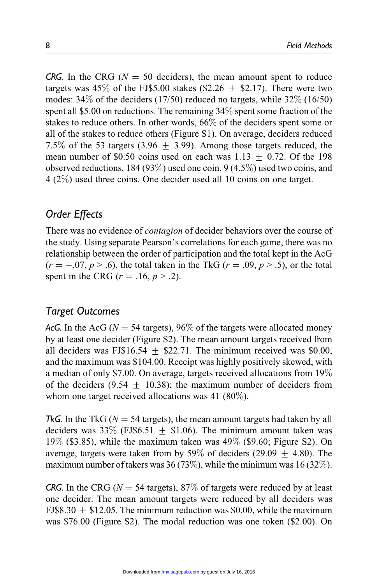**CRG.** In the CRG ( $N = 50$  deciders), the mean amount spent to reduce targets was 45\% of the FJ\$5.00 stakes (\$2.26  $\pm$  \$2.17). There were two modes:  $34\%$  of the deciders (17/50) reduced no targets, while  $32\%$  (16/50) spent all \$5.00 on reductions. The remaining 34% spent some fraction of the stakes to reduce others. In other words, 66% of the deciders spent some or all of the stakes to reduce others (Figure S1). On average, deciders reduced 7.5% of the 53 targets  $(3.96 + 3.99)$ . Among those targets reduced, the mean number of \$0.50 coins used on each was  $1.13 + 0.72$ . Of the 198 observed reductions, 184 (93%) used one coin, 9 (4.5%) used two coins, and 4 (2%) used three coins. One decider used all 10 coins on one target.

### Order Effects

There was no evidence of contagion of decider behaviors over the course of the study. Using separate Pearson's correlations for each game, there was no relationship between the order of participation and the total kept in the AcG  $(r = -.07, p > .6)$ , the total taken in the TkG  $(r = .09, p > .5)$ , or the total spent in the CRG ( $r = .16$ ,  $p > .2$ ).

### **Target Outcomes**

AcG. In the AcG ( $N = 54$  targets), 96% of the targets were allocated money by at least one decider (Figure S2). The mean amount targets received from all deciders was FJ\$16.54  $+$  \$22.71. The minimum received was \$0.00, and the maximum was \$104.00. Receipt was highly positively skewed, with a median of only \$7.00. On average, targets received allocations from 19% of the deciders  $(9.54 + 10.38)$ ; the maximum number of deciders from whom one target received allocations was 41 (80%).

TkG. In the TkG ( $N = 54$  targets), the mean amount targets had taken by all deciders was 33% (FJ\$6.51  $\pm$  \$1.06). The minimum amount taken was 19% (\$3.85), while the maximum taken was  $49\%$  (\$9.60; Figure S2). On average, targets were taken from by 59% of deciders (29.09  $\pm$  4.80). The maximum number of takers was 36 (73%), while the minimum was 16 (32%).

**CRG.** In the CRG ( $N = 54$  targets), 87% of targets were reduced by at least one decider. The mean amount targets were reduced by all deciders was FJ\$8.30  $+$  \$12.05. The minimum reduction was \$0.00, while the maximum was \$76.00 (Figure S2). The modal reduction was one token (\$2.00). On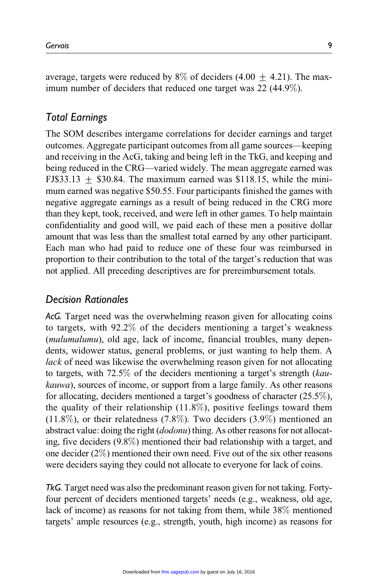average, targets were reduced by 8% of deciders (4.00  $\pm$  4.21). The maximum number of deciders that reduced one target was 22 (44.9%).

### Total Earnings

The SOM describes intergame correlations for decider earnings and target outcomes. Aggregate participant outcomes from all game sources—keeping and receiving in the AcG, taking and being left in the TkG, and keeping and being reduced in the CRG—varied widely. The mean aggregate earned was FJ\$33.13  $+$  \$30.84. The maximum earned was \$118.15, while the minimum earned was negative \$50.55. Four participants finished the games with negative aggregate earnings as a result of being reduced in the CRG more than they kept, took, received, and were left in other games. To help maintain confidentiality and good will, we paid each of these men a positive dollar amount that was less than the smallest total earned by any other participant. Each man who had paid to reduce one of these four was reimbursed in proportion to their contribution to the total of the target's reduction that was not applied. All preceding descriptives are for prereimbursement totals.

#### Decision Rationales

AcG. Target need was the overwhelming reason given for allocating coins to targets, with 92.2% of the deciders mentioning a target's weakness (malumalumu), old age, lack of income, financial troubles, many dependents, widower status, general problems, or just wanting to help them. A lack of need was likewise the overwhelming reason given for not allocating to targets, with 72.5% of the deciders mentioning a target's strength (kaukauwa), sources of income, or support from a large family. As other reasons for allocating, deciders mentioned a target's goodness of character (25.5%), the quality of their relationship  $(11.8\%)$ , positive feelings toward them  $(11.8\%)$ , or their relatedness (7.8%). Two deciders (3.9%) mentioned an abstract value: doing the right (*dodonu*) thing. As other reasons for not allocating, five deciders (9.8%) mentioned their bad relationship with a target, and one decider  $(2\%)$  mentioned their own need. Five out of the six other reasons were deciders saying they could not allocate to everyone for lack of coins.

TkG. Target need was also the predominant reason given for not taking. Fortyfour percent of deciders mentioned targets' needs (e.g., weakness, old age, lack of income) as reasons for not taking from them, while 38% mentioned targets' ample resources (e.g., strength, youth, high income) as reasons for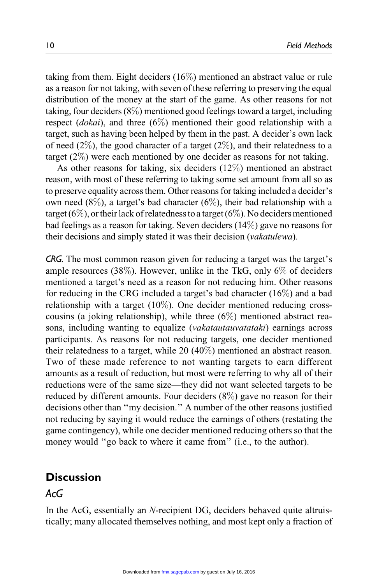taking from them. Eight deciders (16%) mentioned an abstract value or rule as a reason for not taking, with seven of these referring to preserving the equal distribution of the money at the start of the game. As other reasons for not taking, four deciders (8%) mentioned good feelings toward a target, including respect (*dokai*), and three ( $6\%$ ) mentioned their good relationship with a target, such as having been helped by them in the past. A decider's own lack of need  $(2\%)$ , the good character of a target  $(2\%)$ , and their relatedness to a target (2%) were each mentioned by one decider as reasons for not taking.

As other reasons for taking, six deciders (12%) mentioned an abstract reason, with most of these referring to taking some set amount from all so as to preserve equality across them. Other reasons for taking included a decider's own need (8%), a target's bad character (6%), their bad relationship with a target (6%), or their lack of relatedness to a target (6%). No deciders mentioned bad feelings as a reason for taking. Seven deciders (14%) gave no reasons for their decisions and simply stated it was their decision (vakatulewa).

CRG. The most common reason given for reducing a target was the target's ample resources  $(38\%)$ . However, unlike in the TkG, only 6\% of deciders mentioned a target's need as a reason for not reducing him. Other reasons for reducing in the CRG included a target's bad character (16%) and a bad relationship with a target  $(10\%)$ . One decider mentioned reducing crosscousins (a joking relationship), while three  $(6\%)$  mentioned abstract reasons, including wanting to equalize (vakatautauvatataki) earnings across participants. As reasons for not reducing targets, one decider mentioned their relatedness to a target, while 20 (40%) mentioned an abstract reason. Two of these made reference to not wanting targets to earn different amounts as a result of reduction, but most were referring to why all of their reductions were of the same size—they did not want selected targets to be reduced by different amounts. Four deciders (8%) gave no reason for their decisions other than ''my decision.'' A number of the other reasons justified not reducing by saying it would reduce the earnings of others (restating the game contingency), while one decider mentioned reducing others so that the money would "go back to where it came from" (i.e., to the author).

#### **Discussion**

#### AcG

In the AcG, essentially an N-recipient DG, deciders behaved quite altruistically; many allocated themselves nothing, and most kept only a fraction of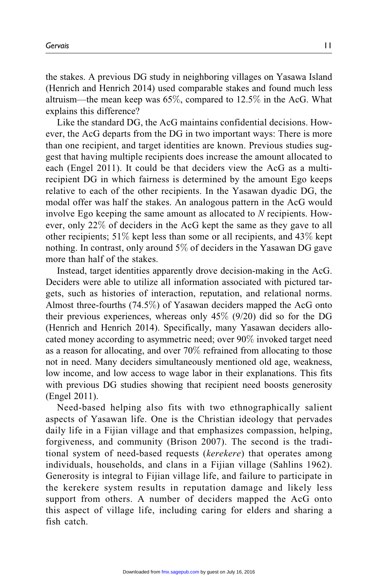the stakes. A previous DG study in neighboring villages on Yasawa Island (Henrich and Henrich 2014) used comparable stakes and found much less altruism—the mean keep was  $65\%$ , compared to  $12.5\%$  in the AcG. What explains this difference?

Like the standard DG, the AcG maintains confidential decisions. However, the AcG departs from the DG in two important ways: There is more than one recipient, and target identities are known. Previous studies suggest that having multiple recipients does increase the amount allocated to each (Engel 2011). It could be that deciders view the AcG as a multirecipient DG in which fairness is determined by the amount Ego keeps relative to each of the other recipients. In the Yasawan dyadic DG, the modal offer was half the stakes. An analogous pattern in the AcG would involve Ego keeping the same amount as allocated to N recipients. However, only 22% of deciders in the AcG kept the same as they gave to all other recipients; 51% kept less than some or all recipients, and 43% kept nothing. In contrast, only around 5% of deciders in the Yasawan DG gave more than half of the stakes.

Instead, target identities apparently drove decision-making in the AcG. Deciders were able to utilize all information associated with pictured targets, such as histories of interaction, reputation, and relational norms. Almost three-fourths (74.5%) of Yasawan deciders mapped the AcG onto their previous experiences, whereas only  $45\%$  (9/20) did so for the DG (Henrich and Henrich 2014). Specifically, many Yasawan deciders allocated money according to asymmetric need; over 90% invoked target need as a reason for allocating, and over 70% refrained from allocating to those not in need. Many deciders simultaneously mentioned old age, weakness, low income, and low access to wage labor in their explanations. This fits with previous DG studies showing that recipient need boosts generosity (Engel 2011).

Need-based helping also fits with two ethnographically salient aspects of Yasawan life. One is the Christian ideology that pervades daily life in a Fijian village and that emphasizes compassion, helping, forgiveness, and community (Brison 2007). The second is the traditional system of need-based requests (kerekere) that operates among individuals, households, and clans in a Fijian village (Sahlins 1962). Generosity is integral to Fijian village life, and failure to participate in the kerekere system results in reputation damage and likely less support from others. A number of deciders mapped the AcG onto this aspect of village life, including caring for elders and sharing a fish catch.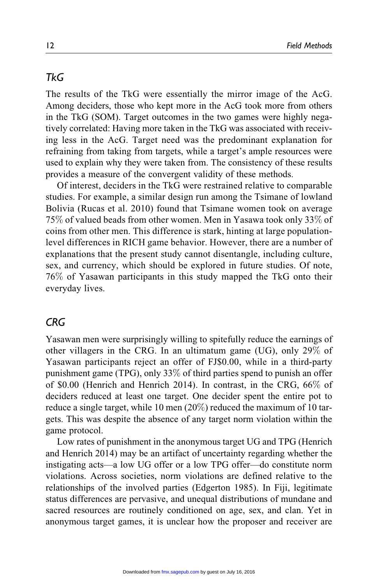### TkG

The results of the TkG were essentially the mirror image of the AcG. Among deciders, those who kept more in the AcG took more from others in the TkG (SOM). Target outcomes in the two games were highly negatively correlated: Having more taken in the TkG was associated with receiving less in the AcG. Target need was the predominant explanation for refraining from taking from targets, while a target's ample resources were used to explain why they were taken from. The consistency of these results provides a measure of the convergent validity of these methods.

Of interest, deciders in the TkG were restrained relative to comparable studies. For example, a similar design run among the Tsimane of lowland Bolivia (Rucas et al. 2010) found that Tsimane women took on average 75% of valued beads from other women. Men in Yasawa took only 33% of coins from other men. This difference is stark, hinting at large populationlevel differences in RICH game behavior. However, there are a number of explanations that the present study cannot disentangle, including culture, sex, and currency, which should be explored in future studies. Of note, 76% of Yasawan participants in this study mapped the TkG onto their everyday lives.

#### CRG

Yasawan men were surprisingly willing to spitefully reduce the earnings of other villagers in the CRG. In an ultimatum game (UG), only 29% of Yasawan participants reject an offer of FJ\$0.00, while in a third-party punishment game (TPG), only 33% of third parties spend to punish an offer of \$0.00 (Henrich and Henrich 2014). In contrast, in the CRG, 66% of deciders reduced at least one target. One decider spent the entire pot to reduce a single target, while 10 men (20%) reduced the maximum of 10 targets. This was despite the absence of any target norm violation within the game protocol.

Low rates of punishment in the anonymous target UG and TPG (Henrich and Henrich 2014) may be an artifact of uncertainty regarding whether the instigating acts—a low UG offer or a low TPG offer—do constitute norm violations. Across societies, norm violations are defined relative to the relationships of the involved parties (Edgerton 1985). In Fiji, legitimate status differences are pervasive, and unequal distributions of mundane and sacred resources are routinely conditioned on age, sex, and clan. Yet in anonymous target games, it is unclear how the proposer and receiver are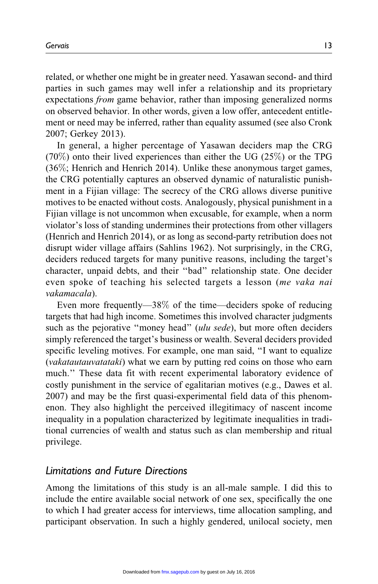related, or whether one might be in greater need. Yasawan second- and third parties in such games may well infer a relationship and its proprietary expectations from game behavior, rather than imposing generalized norms on observed behavior. In other words, given a low offer, antecedent entitlement or need may be inferred, rather than equality assumed (see also Cronk 2007; Gerkey 2013).

In general, a higher percentage of Yasawan deciders map the CRG  $(70\%)$  onto their lived experiences than either the UG (25%) or the TPG (36%; Henrich and Henrich 2014). Unlike these anonymous target games, the CRG potentially captures an observed dynamic of naturalistic punishment in a Fijian village: The secrecy of the CRG allows diverse punitive motives to be enacted without costs. Analogously, physical punishment in a Fijian village is not uncommon when excusable, for example, when a norm violator's loss of standing undermines their protections from other villagers (Henrich and Henrich 2014), or as long as second-party retribution does not disrupt wider village affairs (Sahlins 1962). Not surprisingly, in the CRG, deciders reduced targets for many punitive reasons, including the target's character, unpaid debts, and their ''bad'' relationship state. One decider even spoke of teaching his selected targets a lesson (me vaka nai vakamacala).

Even more frequently—38% of the time—deciders spoke of reducing targets that had high income. Sometimes this involved character judgments such as the pejorative "money head" (*ulu sede*), but more often deciders simply referenced the target's business or wealth. Several deciders provided specific leveling motives. For example, one man said, ''I want to equalize (vakatautauvatataki) what we earn by putting red coins on those who earn much.'' These data fit with recent experimental laboratory evidence of costly punishment in the service of egalitarian motives (e.g., Dawes et al. 2007) and may be the first quasi-experimental field data of this phenomenon. They also highlight the perceived illegitimacy of nascent income inequality in a population characterized by legitimate inequalities in traditional currencies of wealth and status such as clan membership and ritual privilege.

#### Limitations and Future Directions

Among the limitations of this study is an all-male sample. I did this to include the entire available social network of one sex, specifically the one to which I had greater access for interviews, time allocation sampling, and participant observation. In such a highly gendered, unilocal society, men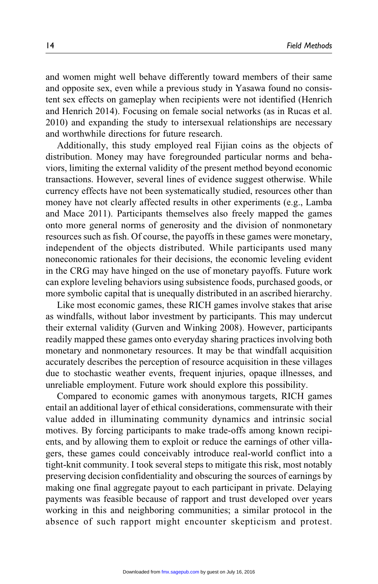and women might well behave differently toward members of their same and opposite sex, even while a previous study in Yasawa found no consistent sex effects on gameplay when recipients were not identified (Henrich and Henrich 2014). Focusing on female social networks (as in Rucas et al. 2010) and expanding the study to intersexual relationships are necessary and worthwhile directions for future research.

Additionally, this study employed real Fijian coins as the objects of distribution. Money may have foregrounded particular norms and behaviors, limiting the external validity of the present method beyond economic transactions. However, several lines of evidence suggest otherwise. While currency effects have not been systematically studied, resources other than money have not clearly affected results in other experiments (e.g., Lamba and Mace 2011). Participants themselves also freely mapped the games onto more general norms of generosity and the division of nonmonetary resources such as fish. Of course, the payoffs in these games were monetary, independent of the objects distributed. While participants used many noneconomic rationales for their decisions, the economic leveling evident in the CRG may have hinged on the use of monetary payoffs. Future work can explore leveling behaviors using subsistence foods, purchased goods, or more symbolic capital that is unequally distributed in an ascribed hierarchy.

Like most economic games, these RICH games involve stakes that arise as windfalls, without labor investment by participants. This may undercut their external validity (Gurven and Winking 2008). However, participants readily mapped these games onto everyday sharing practices involving both monetary and nonmonetary resources. It may be that windfall acquisition accurately describes the perception of resource acquisition in these villages due to stochastic weather events, frequent injuries, opaque illnesses, and unreliable employment. Future work should explore this possibility.

Compared to economic games with anonymous targets, RICH games entail an additional layer of ethical considerations, commensurate with their value added in illuminating community dynamics and intrinsic social motives. By forcing participants to make trade-offs among known recipients, and by allowing them to exploit or reduce the earnings of other villagers, these games could conceivably introduce real-world conflict into a tight-knit community. I took several steps to mitigate this risk, most notably preserving decision confidentiality and obscuring the sources of earnings by making one final aggregate payout to each participant in private. Delaying payments was feasible because of rapport and trust developed over years working in this and neighboring communities; a similar protocol in the absence of such rapport might encounter skepticism and protest.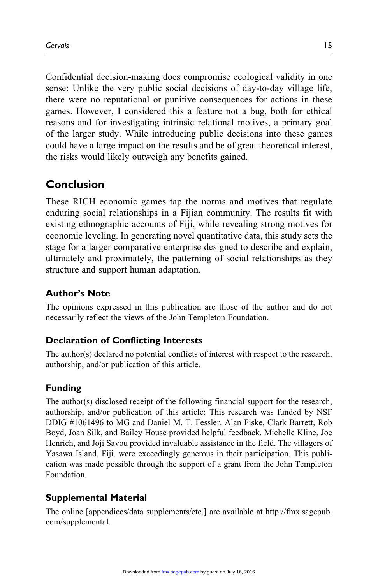Confidential decision-making does compromise ecological validity in one sense: Unlike the very public social decisions of day-to-day village life, there were no reputational or punitive consequences for actions in these games. However, I considered this a feature not a bug, both for ethical reasons and for investigating intrinsic relational motives, a primary goal of the larger study. While introducing public decisions into these games could have a large impact on the results and be of great theoretical interest, the risks would likely outweigh any benefits gained.

# Conclusion

These RICH economic games tap the norms and motives that regulate enduring social relationships in a Fijian community. The results fit with existing ethnographic accounts of Fiji, while revealing strong motives for economic leveling. In generating novel quantitative data, this study sets the stage for a larger comparative enterprise designed to describe and explain, ultimately and proximately, the patterning of social relationships as they structure and support human adaptation.

## Author's Note

The opinions expressed in this publication are those of the author and do not necessarily reflect the views of the John Templeton Foundation.

## Declaration of Conflicting Interests

The author(s) declared no potential conflicts of interest with respect to the research, authorship, and/or publication of this article.

## Funding

The author(s) disclosed receipt of the following financial support for the research, authorship, and/or publication of this article: This research was funded by NSF DDIG #1061496 to MG and Daniel M. T. Fessler. Alan Fiske, Clark Barrett, Rob Boyd, Joan Silk, and Bailey House provided helpful feedback. Michelle Kline, Joe Henrich, and Joji Savou provided invaluable assistance in the field. The villagers of Yasawa Island, Fiji, were exceedingly generous in their participation. This publication was made possible through the support of a grant from the John Templeton Foundation.

## Supplemental Material

The online [appendices/data supplements/etc.] are available at [http://fmx.sagepub.](http://fmx.sagepub.com/supplemental) [com/supplemental.](http://fmx.sagepub.com/supplemental)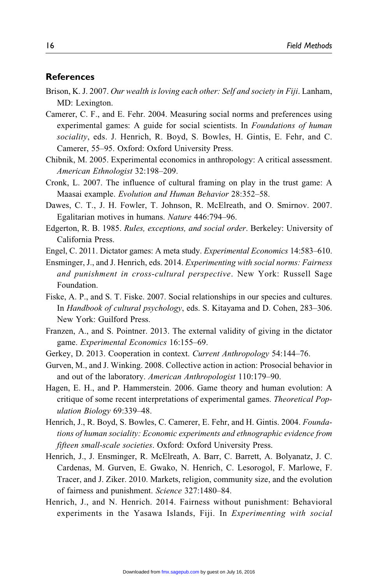#### References

- Brison, K. J. 2007. Our wealth is loving each other: Self and society in Fiji. Lanham, MD: Lexington.
- Camerer, C. F., and E. Fehr. 2004. Measuring social norms and preferences using experimental games: A guide for social scientists. In Foundations of human sociality, eds. J. Henrich, R. Boyd, S. Bowles, H. Gintis, E. Fehr, and C. Camerer, 55–95. Oxford: Oxford University Press.
- Chibnik, M. 2005. Experimental economics in anthropology: A critical assessment. American Ethnologist 32:198–209.
- Cronk, L. 2007. The influence of cultural framing on play in the trust game: A Maasai example. Evolution and Human Behavior 28:352–58.
- Dawes, C. T., J. H. Fowler, T. Johnson, R. McElreath, and O. Smirnov. 2007. Egalitarian motives in humans. Nature 446:794–96.
- Edgerton, R. B. 1985. Rules, exceptions, and social order. Berkeley: University of California Press.
- Engel, C. 2011. Dictator games: A meta study. Experimental Economics 14:583–610.
- Ensminger, J., and J. Henrich, eds. 2014. Experimenting with social norms: Fairness and punishment in cross-cultural perspective. New York: Russell Sage Foundation.
- Fiske, A. P., and S. T. Fiske. 2007. Social relationships in our species and cultures. In Handbook of cultural psychology, eds. S. Kitayama and D. Cohen, 283–306. New York: Guilford Press.
- Franzen, A., and S. Pointner. 2013. The external validity of giving in the dictator game. Experimental Economics 16:155–69.
- Gerkey, D. 2013. Cooperation in context. Current Anthropology 54:144–76.
- Gurven, M., and J. Winking. 2008. Collective action in action: Prosocial behavior in and out of the laboratory. American Anthropologist 110:179–90.
- Hagen, E. H., and P. Hammerstein. 2006. Game theory and human evolution: A critique of some recent interpretations of experimental games. Theoretical Population Biology 69:339–48.
- Henrich, J., R. Boyd, S. Bowles, C. Camerer, E. Fehr, and H. Gintis. 2004. Foundations of human sociality: Economic experiments and ethnographic evidence from fifteen small-scale societies. Oxford: Oxford University Press.
- Henrich, J., J. Ensminger, R. McElreath, A. Barr, C. Barrett, A. Bolyanatz, J. C. Cardenas, M. Gurven, E. Gwako, N. Henrich, C. Lesorogol, F. Marlowe, F. Tracer, and J. Ziker. 2010. Markets, religion, community size, and the evolution of fairness and punishment. Science 327:1480–84.
- Henrich, J., and N. Henrich. 2014. Fairness without punishment: Behavioral experiments in the Yasawa Islands, Fiji. In Experimenting with social